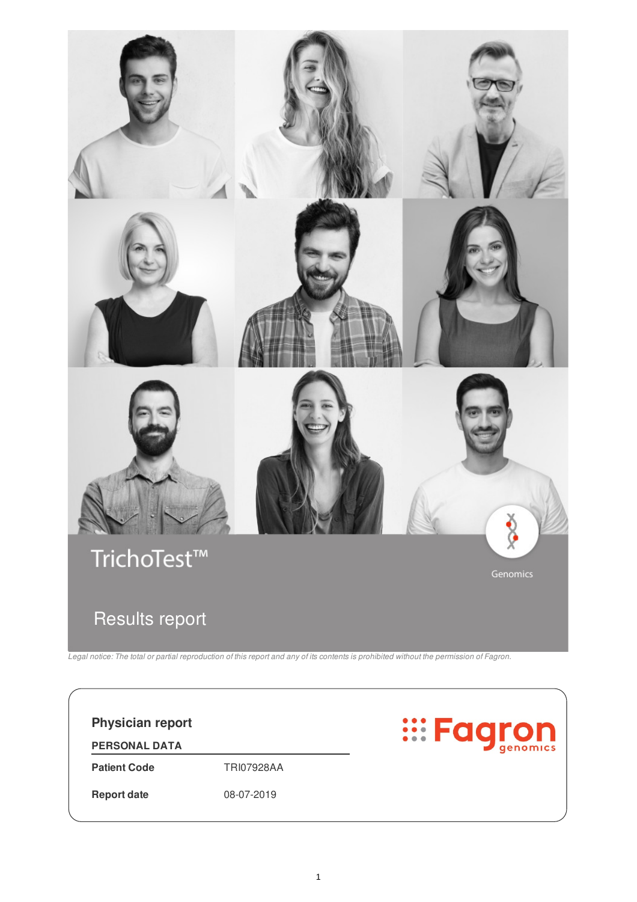

Legal notice: The total or partial reproduction of this report and any of its contents is prohibited without the permission of Fagron.

**Eagron Physician report PERSONAL DATA Patient Code** TRI07928AA **Report date** 08-07-2019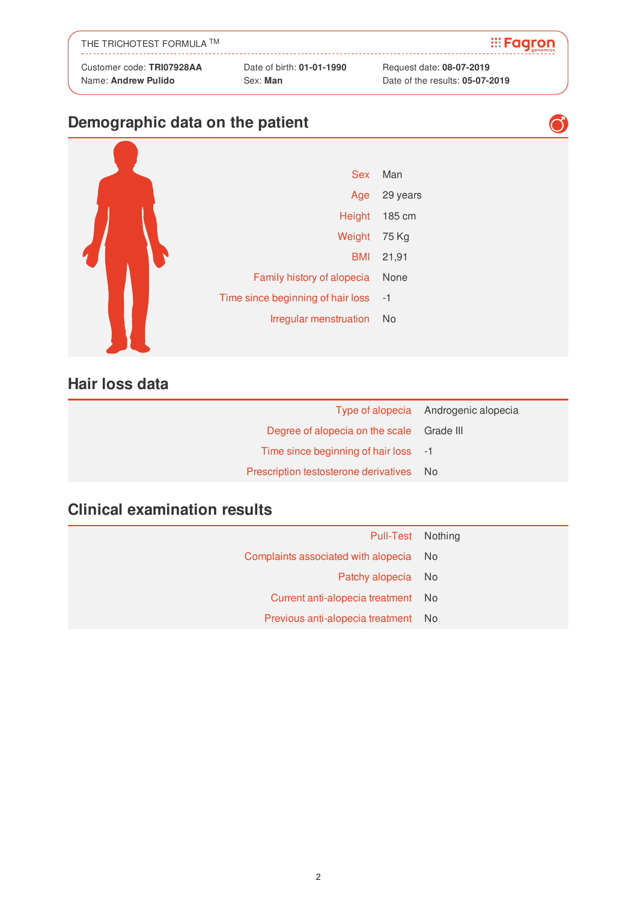| THE TRICHOTEST FORMULA TM |                           | <b>Exagron</b>           |
|---------------------------|---------------------------|--------------------------|
| Customer code: TRI07928AA | Date of birth: 01-01-1990 | Request date: 08-07-2019 |

#### **Demographic data on the patient**



#### **Hair loss data**

|                                           | Type of alopecia Androgenic alopecia |
|-------------------------------------------|--------------------------------------|
| Degree of alopecia on the scale Grade III |                                      |
| Time since beginning of hair loss -1      |                                      |
| Prescription testosterone derivatives No  |                                      |

#### **Clinical examination results**

| Pull-Test Nothing                      |  |
|----------------------------------------|--|
| Complaints associated with alopecia No |  |
| Patchy alopecia No                     |  |
| Current anti-alopecia treatment No     |  |
| Previous anti-alopecia treatment No    |  |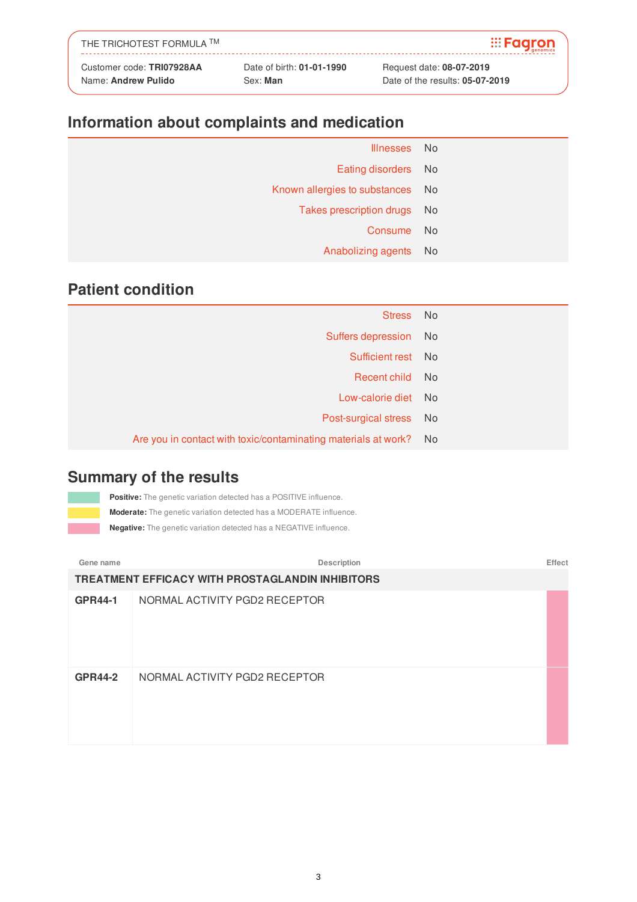| THE TRICHOTEST FORMULA TM |                           | <b>Exagron</b>           |
|---------------------------|---------------------------|--------------------------|
| Customer code: TRI07928AA | Date of birth: 01-01-1990 | Request date: 08-07-2019 |

# **Information about complaints and medication**

| Illnesses No                     |
|----------------------------------|
| Eating disorders No              |
| Known allergies to substances No |
| Takes prescription drugs No      |
| - No                             |
| Anabolizing agents No            |
|                                  |

#### **Patient condition**

| Stress No                                                         |  |
|-------------------------------------------------------------------|--|
| Suffers depression No                                             |  |
| Sufficient rest No                                                |  |
| Recent child No                                                   |  |
| Low-calorie diet No                                               |  |
| Post-surgical stress No                                           |  |
| Are you in contact with toxic/contaminating materials at work? No |  |

#### **Summary of the results**

**Positive:** The genetic variation detected has a POSITIVE influence. **Moderate:** The genetic variation detected has a MODERATE influence.

**Negative:** The genetic variation detected has a NEGATIVE influence.

**Gene name Description Effect TREATMENT EFFICACY WITH PROSTAGLANDIN INHIBITORS GPR44-1** NORMAL ACTIVITY PGD2 RECEPTOR **GPR44-2** NORMAL ACTIVITY PGD2 RECEPTOR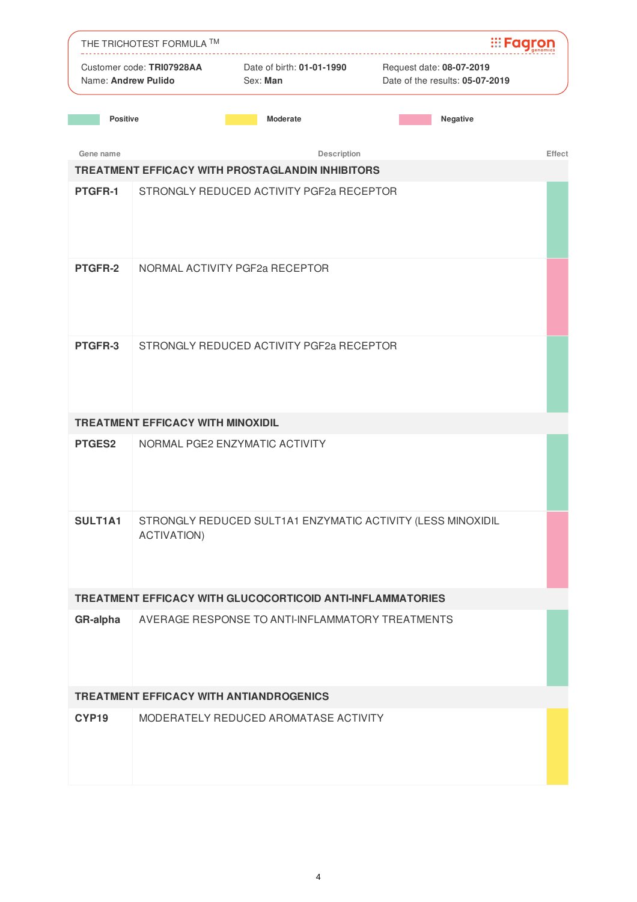|                     | THE TRICHOTEST FORMULA TM                |                                                            | <b>Example:</b>                                             |
|---------------------|------------------------------------------|------------------------------------------------------------|-------------------------------------------------------------|
| Name: Andrew Pulido | Customer code: TRI07928AA                | Date of birth: 01-01-1990<br>Sex: Man                      | Request date: 08-07-2019<br>Date of the results: 05-07-2019 |
| <b>Positive</b>     |                                          | <b>Moderate</b>                                            | Negative                                                    |
| Gene name           |                                          | Description                                                | Effect                                                      |
|                     |                                          | TREATMENT EFFICACY WITH PROSTAGLANDIN INHIBITORS           |                                                             |
| PTGFR-1             |                                          | STRONGLY REDUCED ACTIVITY PGF2a RECEPTOR                   |                                                             |
| <b>PTGFR-2</b>      |                                          | NORMAL ACTIVITY PGF2a RECEPTOR                             |                                                             |
| PTGFR-3             |                                          | STRONGLY REDUCED ACTIVITY PGF2a RECEPTOR                   |                                                             |
|                     | <b>TREATMENT EFFICACY WITH MINOXIDIL</b> |                                                            |                                                             |
| <b>PTGES2</b>       |                                          | NORMAL PGE2 ENZYMATIC ACTIVITY                             |                                                             |
| SULT1A1             | <b>ACTIVATION)</b>                       |                                                            | STRONGLY REDUCED SULT1A1 ENZYMATIC ACTIVITY (LESS MINOXIDIL |
|                     |                                          | TREATMENT EFFICACY WITH GLUCOCORTICOID ANTI-INFLAMMATORIES |                                                             |
| GR-alpha            |                                          | AVERAGE RESPONSE TO ANTI-INFLAMMATORY TREATMENTS           |                                                             |
|                     |                                          | TREATMENT EFFICACY WITH ANTIANDROGENICS                    |                                                             |
| CYP19               |                                          | MODERATELY REDUCED AROMATASE ACTIVITY                      |                                                             |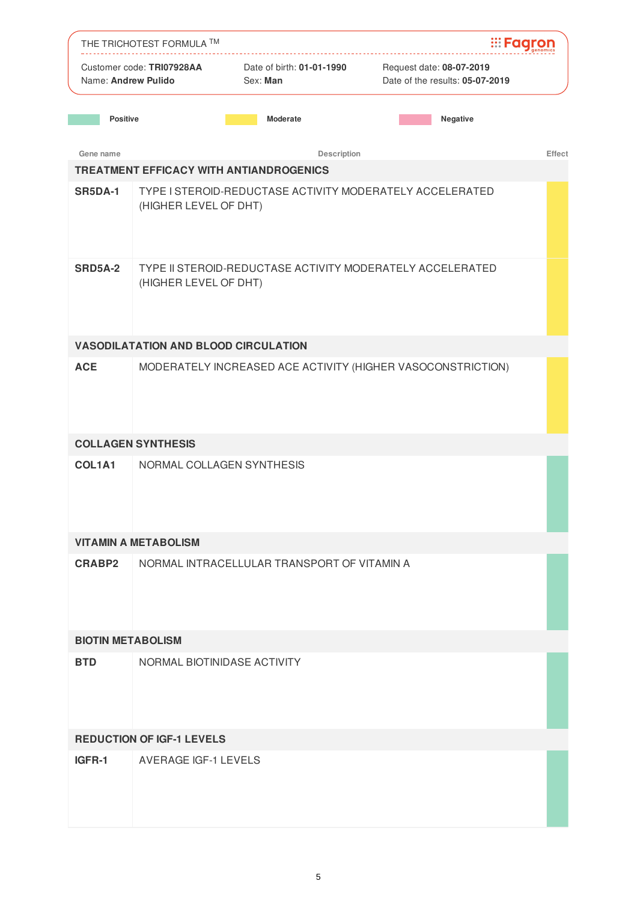|                          | THE TRICHOTEST FORMULA TM                                                          |                                                | <b>:::Faar</b>                                              |
|--------------------------|------------------------------------------------------------------------------------|------------------------------------------------|-------------------------------------------------------------|
| Name: Andrew Pulido      | Customer code: TRI07928AA                                                          | Date of birth: 01-01-1990<br>Sex: Man          | Request date: 08-07-2019<br>Date of the results: 05-07-2019 |
| <b>Positive</b>          |                                                                                    | <b>Moderate</b>                                | Negative                                                    |
| Gene name                |                                                                                    | Description                                    | Effect                                                      |
|                          |                                                                                    | <b>TREATMENT EFFICACY WITH ANTIANDROGENICS</b> |                                                             |
| <b>SR5DA-1</b>           | (HIGHER LEVEL OF DHT)                                                              |                                                | TYPE I STEROID-REDUCTASE ACTIVITY MODERATELY ACCELERATED    |
| <b>SRD5A-2</b>           | TYPE II STEROID-REDUCTASE ACTIVITY MODERATELY ACCELERATED<br>(HIGHER LEVEL OF DHT) |                                                |                                                             |
|                          | <b>VASODILATATION AND BLOOD CIRCULATION</b>                                        |                                                |                                                             |
| <b>ACE</b>               |                                                                                    |                                                | MODERATELY INCREASED ACE ACTIVITY (HIGHER VASOCONSTRICTION) |
|                          | <b>COLLAGEN SYNTHESIS</b>                                                          |                                                |                                                             |
| COL1A1                   | NORMAL COLLAGEN SYNTHESIS                                                          |                                                |                                                             |
|                          | <b>VITAMIN A METABOLISM</b>                                                        |                                                |                                                             |
| CRABP2                   |                                                                                    | NORMAL INTRACELLULAR TRANSPORT OF VITAMIN A    |                                                             |
| <b>BIOTIN METABOLISM</b> |                                                                                    |                                                |                                                             |
| <b>BTD</b>               | NORMAL BIOTINIDASE ACTIVITY                                                        |                                                |                                                             |
|                          | <b>REDUCTION OF IGF-1 LEVELS</b>                                                   |                                                |                                                             |
| IGFR-1                   | <b>AVERAGE IGF-1 LEVELS</b>                                                        |                                                |                                                             |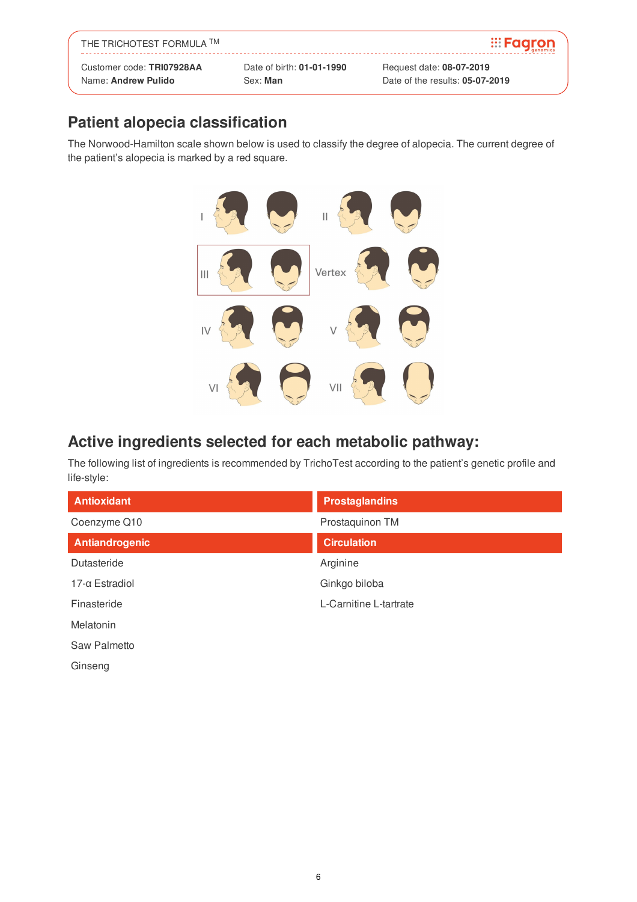| THE TRICHOTEST FORMULA TM |                           | $\mathbb{H}$ <b>Fagron</b>      |
|---------------------------|---------------------------|---------------------------------|
| Customer code: TRI07928AA | Date of birth: 01-01-1990 | Request date: 08-07-2019        |
| Name: Andrew Pulido       | Sex: Man                  | Date of the results: 05-07-2019 |

## **Patient alopecia classification**

The Norwood-Hamilton scale shown below is used to classify the degree of alopecia. The current degree of the patient's alopecia is marked by a red square.



#### **Active ingredients selected for each metabolic pathway:**

The following list of ingredients is recommended by TrichoTest according to the patient's genetic profile and life-style:

| <b>Antioxidant</b>    | <b>Prostaglandins</b>  |
|-----------------------|------------------------|
| Coenzyme Q10          | Prostaquinon TM        |
| Antiandrogenic        | <b>Circulation</b>     |
| Dutasteride           | Arginine               |
| $17-\alpha$ Estradiol | Ginkgo biloba          |
| Finasteride           | L-Carnitine L-tartrate |
| Melatonin             |                        |
| Saw Palmetto          |                        |

Ginseng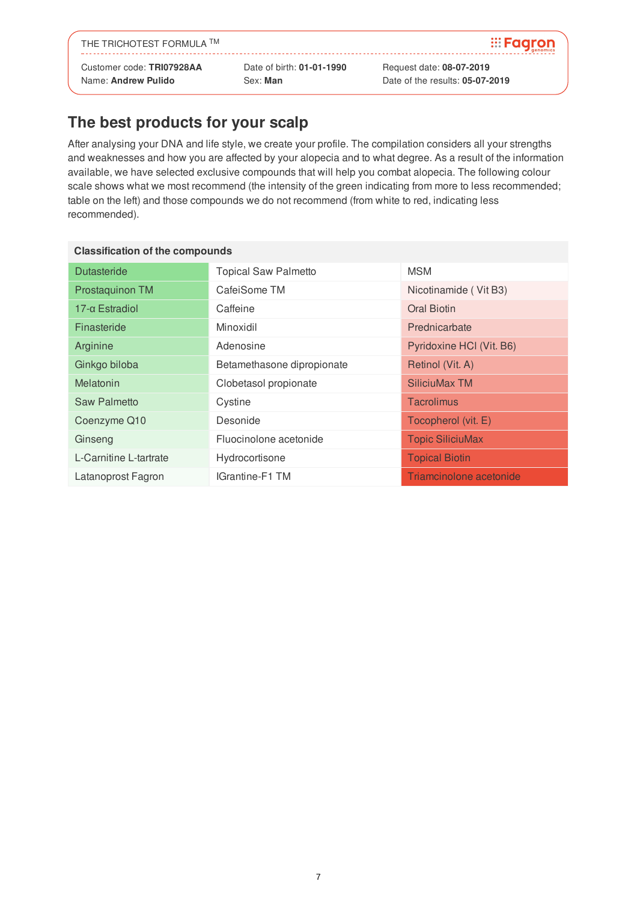THE TRICHOTEST FORMULA ™

Customer code: **TRI07928AA** Date of birth: **01-01-1990** Request date: **08-07-2019**

Name: **Andrew Pulido** Sex: **Man** Date of the results: **05-07-2019**

**E**caron

### **The best products for your scalp**

After analysing your DNA and life style, we create your profile. The compilation considers all your strengths and weaknesses and how you are affected by your alopecia and to what degree. As a result of the information available, we have selected exclusive compounds that will help you combat alopecia. The following colour scale shows what we most recommend (the intensity of the green indicating from more to less recommended; table on the left) and those compounds we do not recommend (from white to red, indicating less recommended).

| <b>Classification of the compounds</b> |                             |                          |
|----------------------------------------|-----------------------------|--------------------------|
| <b>Dutasteride</b>                     | <b>Topical Saw Palmetto</b> | <b>MSM</b>               |
| Prostaquinon TM                        | CafeiSome TM                | Nicotinamide (Vit B3)    |
| $17-\alpha$ Estradiol                  | Caffeine                    | Oral Biotin              |
| Finasteride                            | Minoxidil                   | Prednicarbate            |
| Arginine                               | Adenosine                   | Pyridoxine HCI (Vit. B6) |
| Ginkgo biloba                          | Betamethasone dipropionate  | Retinol (Vit. A)         |
| Melatonin                              | Clobetasol propionate       | SiliciuMax TM            |
| Saw Palmetto                           | Cystine                     | <b>Tacrolimus</b>        |
| Coenzyme Q10                           | Desonide                    | Tocopherol (vit. E)      |
| Ginseng                                | Fluocinolone acetonide      | <b>Topic SiliciuMax</b>  |
| L-Carnitine L-tartrate                 | Hydrocortisone              | <b>Topical Biotin</b>    |
| Latanoprost Fagron                     | IGrantine-F1 TM             | Triamcinolone acetonide  |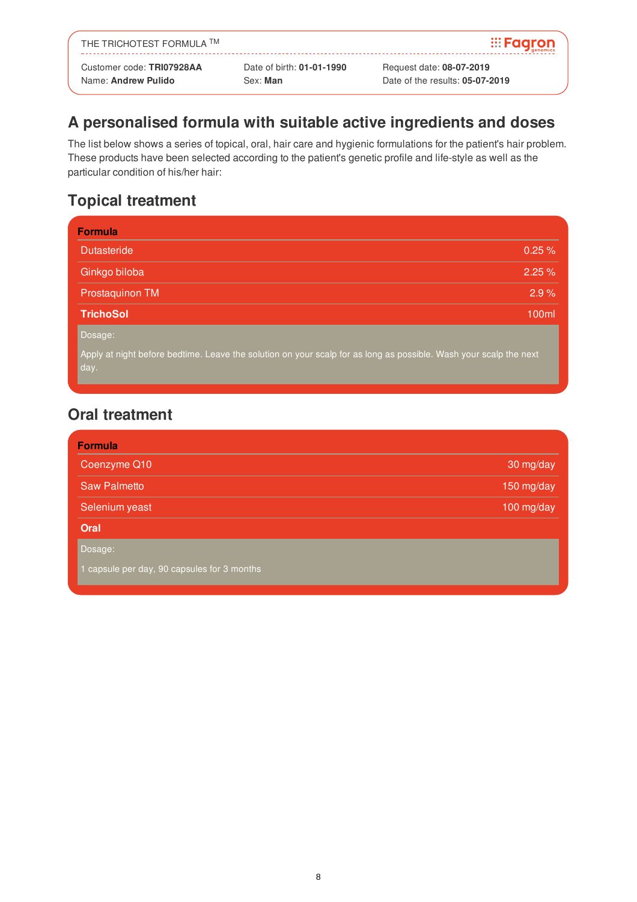| THE TRICHOTEST FORMULA TM |                           | <b>Exagron</b>           |
|---------------------------|---------------------------|--------------------------|
| Customer code: TRI07928AA | Date of birth: 01-01-1990 | Request date: 08-07-2019 |

### **A personalised formula with suitable active ingredients and doses**

The list below shows a series of topical, oral, hair care and hygienic formulations for the patient's hair problem. These products have been selected according to the patient's genetic profile and life-style as well as the particular condition of his/her hair:

### **Topical treatment**

| <b>Formula</b>                                                                                                            |           |
|---------------------------------------------------------------------------------------------------------------------------|-----------|
| <b>Dutasteride</b>                                                                                                        | $0.25 \%$ |
| Ginkgo biloba                                                                                                             | 2.25%     |
| Prostaquinon TM                                                                                                           | 2.9%      |
| <b>TrichoSol</b>                                                                                                          | 100ml     |
| Dosage:                                                                                                                   |           |
| Apply at night before bedtime. Leave the solution on your scalp for as long as possible. Wash your scalp the next<br>day. |           |

#### **Oral treatment**

| <b>Formula</b>      |            |
|---------------------|------------|
| Coenzyme Q10        | 30 mg/day  |
| <b>Saw Palmetto</b> | 150 mg/day |
| Selenium yeast      | 100 mg/day |
| Oral                |            |
| Dosage:             |            |

1 capsule per day, 90 capsules for 3 months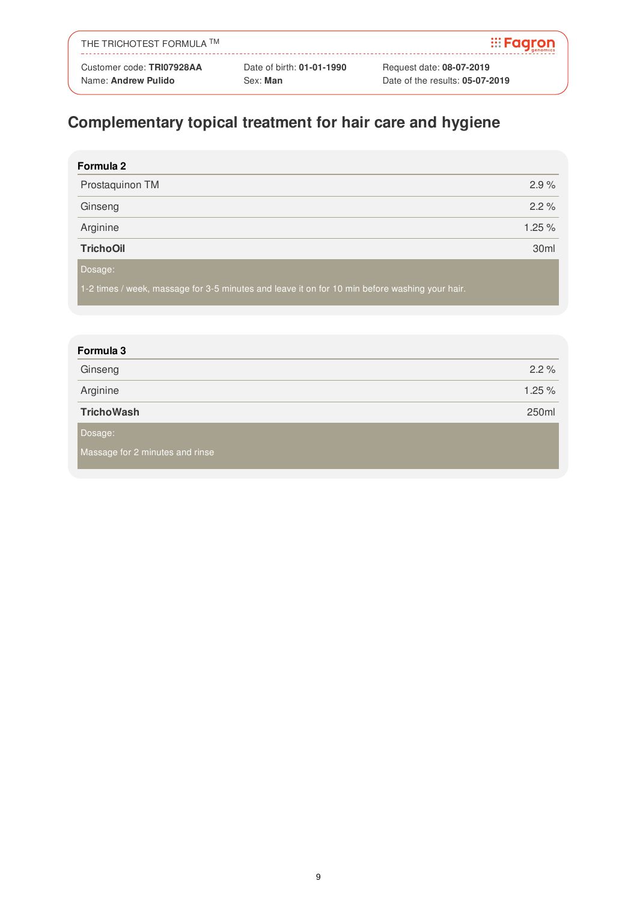| THE TRICHOTEST FORMULA ™  |                           | <b>Exagron</b>           |
|---------------------------|---------------------------|--------------------------|
| Customer code: TRI07928AA | Date of birth: 01-01-1990 | Request date: 08-07-2019 |

# **Complementary topical treatment for hair care and hygiene**

| Formula 2        |        |
|------------------|--------|
| Prostaquinon TM  | 2.9%   |
| Ginseng          | 2.2%   |
| Arginine         | 1.25 % |
| <b>TrichoOil</b> | 30ml   |
| Dosage:          |        |

1-2 times / week, massage for 3-5 minutes and leave it on for 10 min before washing your hair.

| Formula 3                       |        |
|---------------------------------|--------|
| Ginseng                         | 2.2%   |
| Arginine                        | 1.25 % |
| <b>TrichoWash</b>               | 250ml  |
| Dosage:                         |        |
| Massage for 2 minutes and rinse |        |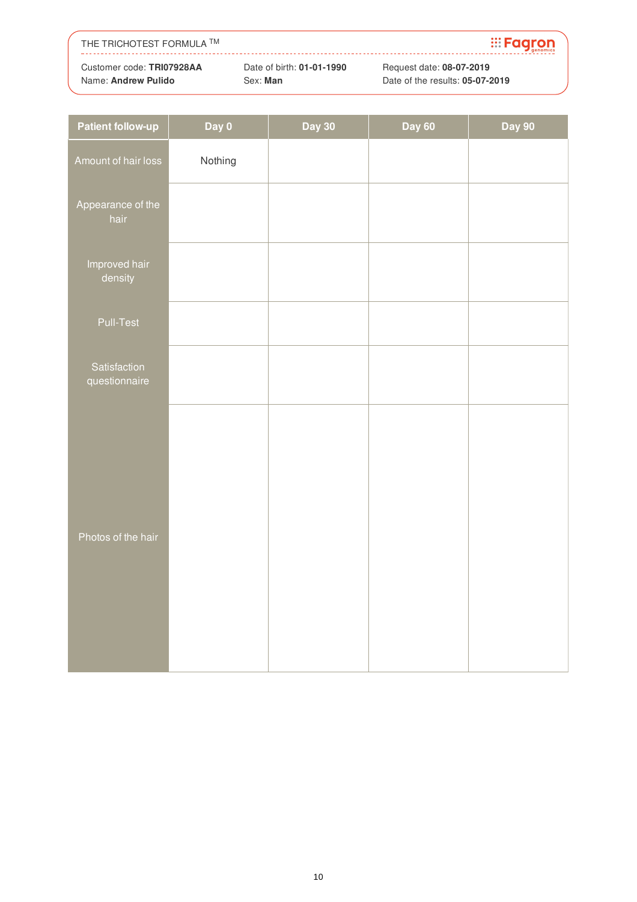| THE TRICHOTEST FORMULA TM |                           | <b>Exagron</b>                  |
|---------------------------|---------------------------|---------------------------------|
| Customer code: TRI07928AA | Date of birth: 01-01-1990 | Request date: 08-07-2019        |
| Name: Andrew Pulido       | Sex: Man                  | Date of the results: 05-07-2019 |

| <b>Patient follow-up</b>      | Day 0   | <b>Day 30</b> | <b>Day 60</b> | Day 90 |
|-------------------------------|---------|---------------|---------------|--------|
| Amount of hair loss           | Nothing |               |               |        |
| Appearance of the<br>hair     |         |               |               |        |
| Improved hair<br>density      |         |               |               |        |
| Pull-Test                     |         |               |               |        |
| Satisfaction<br>questionnaire |         |               |               |        |
| Photos of the hair            |         |               |               |        |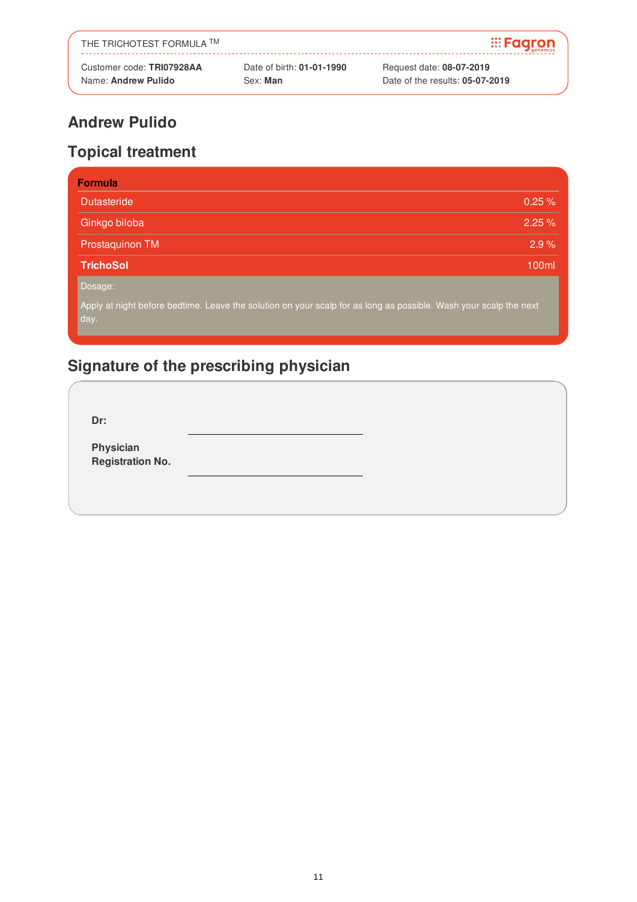| THE TRICHOTEST FORMULA TM |                           | $\mathbb{H}$ <b>Fagron</b>      |
|---------------------------|---------------------------|---------------------------------|
| Customer code: TRI07928AA | Date of birth: 01-01-1990 | Request date: 08-07-2019        |
| Name: Andrew Pulido       | Sex: Man                  | Date of the results: 05-07-2019 |

# **Topical treatment**

| <b>Formula</b>                                                                                                            |       |
|---------------------------------------------------------------------------------------------------------------------------|-------|
| <b>Dutasteride</b>                                                                                                        | 0.25% |
| Ginkgo biloba                                                                                                             | 2.25% |
| Prostaquinon TM                                                                                                           | 2.9%  |
| <b>TrichoSol</b>                                                                                                          | 100ml |
| Dosage:                                                                                                                   |       |
| Apply at night before bedtime. Leave the solution on your scalp for as long as possible. Wash your scalp the next<br>day. |       |

# **Signature of the prescribing physician**

**Dr:**

**Physician Registration No.**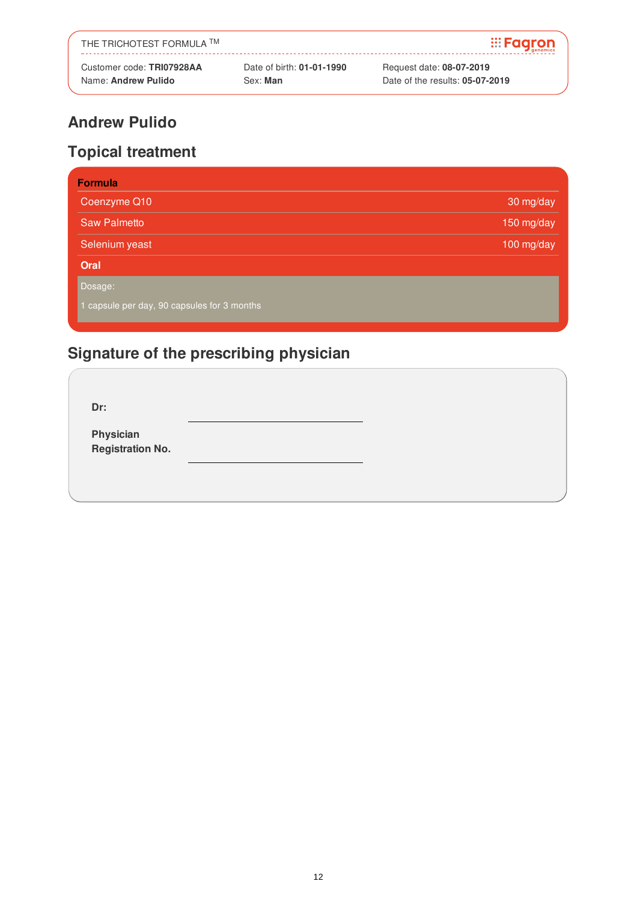| THE TRICHOTEST FORMULA TM |                           | <b>Exagron</b>                  |
|---------------------------|---------------------------|---------------------------------|
| Customer code: TRI07928AA | Date of birth: 01-01-1990 | Request date: 08-07-2019        |
| Name: Andrew Pulido       | Sex: Man                  | Date of the results: 05-07-2019 |

# **Topical treatment**

| <b>Formula</b>                            |            |
|-------------------------------------------|------------|
| Coenzyme Q10                              | 30 mg/day  |
| <b>Saw Palmetto</b>                       | 150 mg/day |
| Selenium yeast                            | 100 mg/day |
| Oral                                      |            |
| Dosage:                                   |            |
| capsule per day, 90 capsules for 3 months |            |

# **Signature of the prescribing physician**

**Dr:**

**Physician Registration No.**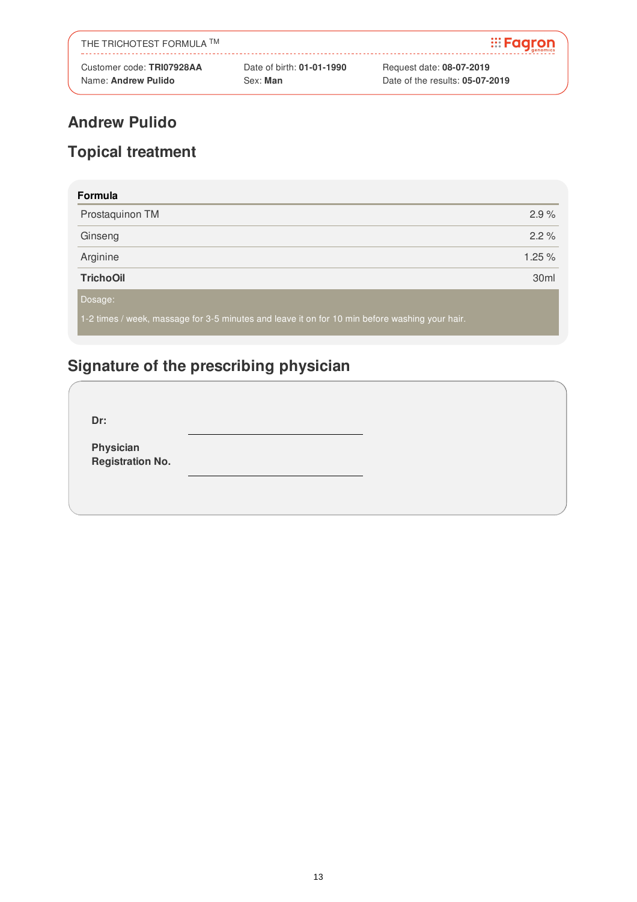| THE TRICHOTEST FORMULA TM |                           | <b>Exagron</b>                  |
|---------------------------|---------------------------|---------------------------------|
| Customer code: TRI07928AA | Date of birth: 01-01-1990 | Request date: 08-07-2019        |
| Name: Andrew Pulido       | Sex: Man                  | Date of the results: 05-07-2019 |

# **Topical treatment**

| Formula                                                                                        |                  |
|------------------------------------------------------------------------------------------------|------------------|
| Prostaquinon TM                                                                                | 2.9%             |
| Ginseng                                                                                        | $2.2\%$          |
| Arginine                                                                                       | 1.25%            |
| <b>TrichoOil</b>                                                                               | 30 <sub>ml</sub> |
| Dosage:                                                                                        |                  |
| 1-2 times / week, massage for 3-5 minutes and leave it on for 10 min before washing your hair. |                  |

# **Signature of the prescribing physician**

**Dr: Physician Registration No.**